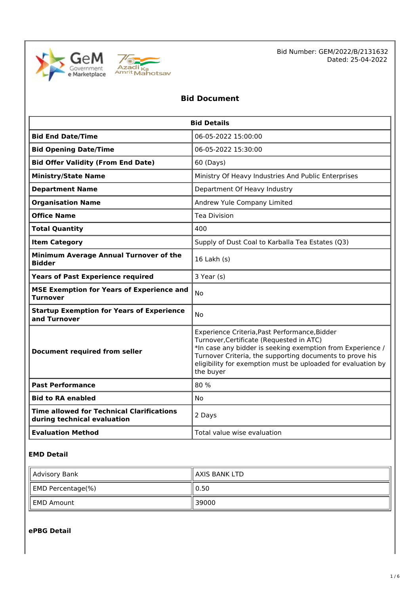



Bid Number: GEM/2022/B/2131632 Dated: 25-04-2022

# **Bid Document**

| <b>Bid Details</b>                                                              |                                                                                                                                                                                                                                                                                                  |  |  |
|---------------------------------------------------------------------------------|--------------------------------------------------------------------------------------------------------------------------------------------------------------------------------------------------------------------------------------------------------------------------------------------------|--|--|
| <b>Bid End Date/Time</b>                                                        | 06-05-2022 15:00:00                                                                                                                                                                                                                                                                              |  |  |
| <b>Bid Opening Date/Time</b>                                                    | 06-05-2022 15:30:00                                                                                                                                                                                                                                                                              |  |  |
| <b>Bid Offer Validity (From End Date)</b>                                       | 60 (Days)                                                                                                                                                                                                                                                                                        |  |  |
| <b>Ministry/State Name</b>                                                      | Ministry Of Heavy Industries And Public Enterprises                                                                                                                                                                                                                                              |  |  |
| <b>Department Name</b>                                                          | Department Of Heavy Industry                                                                                                                                                                                                                                                                     |  |  |
| <b>Organisation Name</b>                                                        | Andrew Yule Company Limited                                                                                                                                                                                                                                                                      |  |  |
| <b>Office Name</b>                                                              | <b>Tea Division</b>                                                                                                                                                                                                                                                                              |  |  |
| <b>Total Quantity</b>                                                           | 400                                                                                                                                                                                                                                                                                              |  |  |
| <b>Item Category</b>                                                            | Supply of Dust Coal to Karballa Tea Estates (Q3)                                                                                                                                                                                                                                                 |  |  |
| Minimum Average Annual Turnover of the<br><b>Bidder</b>                         | $16$ Lakh $(s)$                                                                                                                                                                                                                                                                                  |  |  |
| <b>Years of Past Experience required</b>                                        | 3 Year (s)                                                                                                                                                                                                                                                                                       |  |  |
| <b>MSE Exemption for Years of Experience and</b><br><b>Turnover</b>             | <b>No</b>                                                                                                                                                                                                                                                                                        |  |  |
| <b>Startup Exemption for Years of Experience</b><br>and Turnover                | No                                                                                                                                                                                                                                                                                               |  |  |
| <b>Document required from seller</b>                                            | Experience Criteria, Past Performance, Bidder<br>Turnover, Certificate (Requested in ATC)<br>*In case any bidder is seeking exemption from Experience /<br>Turnover Criteria, the supporting documents to prove his<br>eligibility for exemption must be uploaded for evaluation by<br>the buyer |  |  |
| <b>Past Performance</b>                                                         | 80 %                                                                                                                                                                                                                                                                                             |  |  |
| <b>Bid to RA enabled</b>                                                        | No                                                                                                                                                                                                                                                                                               |  |  |
| <b>Time allowed for Technical Clarifications</b><br>during technical evaluation | 2 Days                                                                                                                                                                                                                                                                                           |  |  |
| <b>Evaluation Method</b>                                                        | Total value wise evaluation                                                                                                                                                                                                                                                                      |  |  |

## **EMD Detail**

| Advisory Bank     | ll AXIS BANK LTD |  |
|-------------------|------------------|--|
| EMD Percentage(%) | 0.50             |  |
| EMD Amount        | 39000 ا          |  |

#### **ePBG Detail**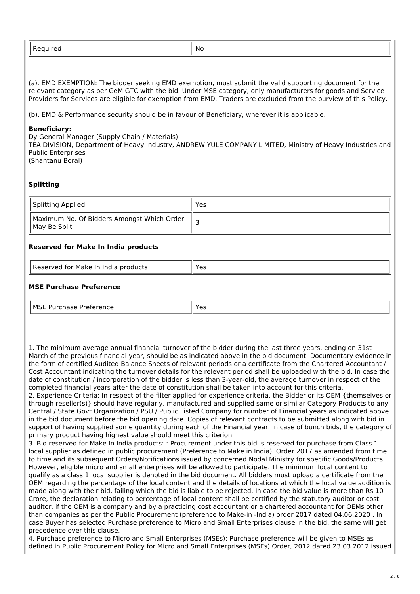| Ð | ' No |
|---|------|
|   |      |

(a). EMD EXEMPTION: The bidder seeking EMD exemption, must submit the valid supporting document for the relevant category as per GeM GTC with the bid. Under MSE category, only manufacturers for goods and Service Providers for Services are eligible for exemption from EMD. Traders are excluded from the purview of this Policy.

(b). EMD & Performance security should be in favour of Beneficiary, wherever it is applicable.

### **Beneficiary:**

Dy General Manager (Supply Chain / Materials)

TEA DIVISION, Department of Heavy Industry, ANDREW YULE COMPANY LIMITED, Ministry of Heavy Industries and Public Enterprises

(Shantanu Boral)

## **Splitting**

| Splitting Applied                                            | Yes |
|--------------------------------------------------------------|-----|
| Maximum No. Of Bidders Amongst Which Order<br>  May Be Split |     |

### **Reserved for Make In India products**

| Reserved<br>Make<br>tor<br>.<br>oroduc <sup>ב</sup> "<br>- In<br>Thàia | v or |
|------------------------------------------------------------------------|------|
|                                                                        | --   |

### **MSE Purchase Preference**

| ll MSE<br><br>ence<br>TCHASE<br>. | $V \cap C$<br>$\sim$ |
|-----------------------------------|----------------------|

1. The minimum average annual financial turnover of the bidder during the last three years, ending on 31st March of the previous financial year, should be as indicated above in the bid document. Documentary evidence in the form of certified Audited Balance Sheets of relevant periods or a certificate from the Chartered Accountant / Cost Accountant indicating the turnover details for the relevant period shall be uploaded with the bid. In case the date of constitution / incorporation of the bidder is less than 3-year-old, the average turnover in respect of the completed financial years after the date of constitution shall be taken into account for this criteria.

2. Experience Criteria: In respect of the filter applied for experience criteria, the Bidder or its OEM {themselves or through reseller(s)} should have regularly, manufactured and supplied same or similar Category Products to any Central / State Govt Organization / PSU / Public Listed Company for number of Financial years as indicated above in the bid document before the bid opening date. Copies of relevant contracts to be submitted along with bid in support of having supplied some quantity during each of the Financial year. In case of bunch bids, the category of primary product having highest value should meet this criterion.

3. Bid reserved for Make In India products: : Procurement under this bid is reserved for purchase from Class 1 local supplier as defined in public procurement (Preference to Make in India), Order 2017 as amended from time to time and its subsequent Orders/Notifications issued by concerned Nodal Ministry for specific Goods/Products. However, eligible micro and small enterprises will be allowed to participate. The minimum local content to qualify as a class 1 local supplier is denoted in the bid document. All bidders must upload a certificate from the OEM regarding the percentage of the local content and the details of locations at which the local value addition is made along with their bid, failing which the bid is liable to be rejected. In case the bid value is more than Rs 10 Crore, the declaration relating to percentage of local content shall be certified by the statutory auditor or cost auditor, if the OEM is a company and by a practicing cost accountant or a chartered accountant for OEMs other than companies as per the Public Procurement (preference to Make-in -India) order 2017 dated 04.06.2020 . In case Buyer has selected Purchase preference to Micro and Small Enterprises clause in the bid, the same will get precedence over this clause.

4. Purchase preference to Micro and Small Enterprises (MSEs): Purchase preference will be given to MSEs as defined in Public Procurement Policy for Micro and Small Enterprises (MSEs) Order, 2012 dated 23.03.2012 issued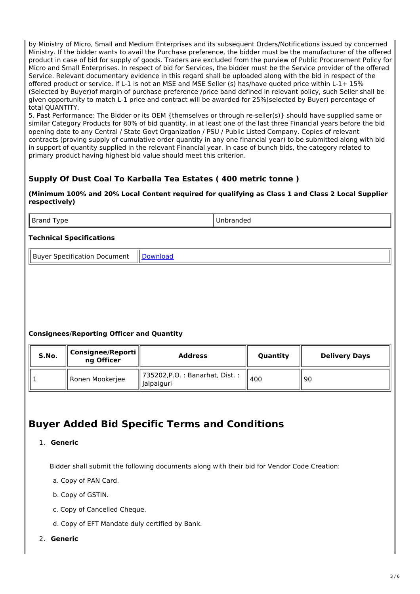by Ministry of Micro, Small and Medium Enterprises and its subsequent Orders/Notifications issued by concerned Ministry. If the bidder wants to avail the Purchase preference, the bidder must be the manufacturer of the offered product in case of bid for supply of goods. Traders are excluded from the purview of Public Procurement Policy for Micro and Small Enterprises. In respect of bid for Services, the bidder must be the Service provider of the offered Service. Relevant documentary evidence in this regard shall be uploaded along with the bid in respect of the offered product or service. If L-1 is not an MSE and MSE Seller (s) has/have quoted price within L-1+ 15% (Selected by Buyer)of margin of purchase preference /price band defined in relevant policy, such Seller shall be given opportunity to match L-1 price and contract will be awarded for 25%(selected by Buyer) percentage of total QUANTITY.

5. Past Performance: The Bidder or its OEM {themselves or through re-seller(s)} should have supplied same or similar Category Products for 80% of bid quantity, in at least one of the last three Financial years before the bid opening date to any Central / State Govt Organization / PSU / Public Listed Company. Copies of relevant contracts (proving supply of cumulative order quantity in any one financial year) to be submitted along with bid in support of quantity supplied in the relevant Financial year. In case of bunch bids, the category related to primary product having highest bid value should meet this criterion.

# **Supply Of Dust Coal To Karballa Tea Estates ( 400 metric tonne )**

**(Minimum 100% and 20% Local Content required for qualifying as Class 1 and Class 2 Local Supplier respectively)**

| <b>Brand Type</b>               |          | Unbranded |
|---------------------------------|----------|-----------|
| <b>Technical Specifications</b> |          |           |
| Buyer Specification Document    | Download |           |
|                                 |          |           |
|                                 |          |           |

## **Consignees/Reporting Officer and Quantity**

| S.No. | <b>Consignee/Reporti</b><br>ng Officer | <b>Address</b>                                | Quantity | <b>Delivery Days</b> |
|-------|----------------------------------------|-----------------------------------------------|----------|----------------------|
|       | Ronen Mookeriee                        | 735202,P.O. : Banarhat, Dist. :<br>Jalpaiguri | 400      | 90                   |

# **Buyer Added Bid Specific Terms and Conditions**

1. **Generic**

Bidder shall submit the following documents along with their bid for Vendor Code Creation:

- a. Copy of PAN Card.
- b. Copy of GSTIN.
- c. Copy of Cancelled Cheque.
- d. Copy of EFT Mandate duly certified by Bank.
- 2. **Generic**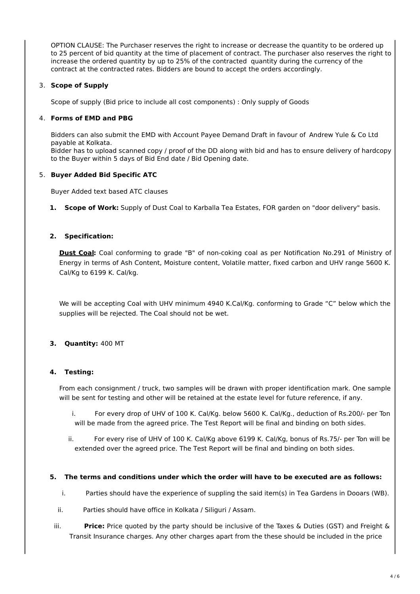OPTION CLAUSE: The Purchaser reserves the right to increase or decrease the quantity to be ordered up to 25 percent of bid quantity at the time of placement of contract. The purchaser also reserves the right to increase the ordered quantity by up to 25% of the contracted quantity during the currency of the contract at the contracted rates. Bidders are bound to accept the orders accordingly.

## 3. **Scope of Supply**

Scope of supply (Bid price to include all cost components) : Only supply of Goods

## 4. **Forms of EMD and PBG**

Bidders can also submit the EMD with Account Payee Demand Draft in favour of Andrew Yule & Co Ltd payable at Kolkata.

Bidder has to upload scanned copy / proof of the DD along with bid and has to ensure delivery of hardcopy to the Buyer within 5 days of Bid End date / Bid Opening date.

### 5. **Buyer Added Bid Specific ATC**

Buyer Added text based ATC clauses

**1. Scope of Work:** Supply of Dust Coal to Karballa Tea Estates, FOR garden on "door delivery" basis.

### **2. Specification:**

**Dust Coal:** Coal conforming to grade "B" of non-coking coal as per Notification No.291 of Ministry of Energy in terms of Ash Content, Moisture content, Volatile matter, fixed carbon and UHV range 5600 K. Cal/Kg to 6199 K. Cal/kg.

We will be accepting Coal with UHV minimum 4940 K.Cal/Kg. conforming to Grade "C" below which the supplies will be rejected. The Coal should not be wet.

## **3. Quantity:** 400 MT

#### **4. Testing:**

From each consignment / truck, two samples will be drawn with proper identification mark. One sample will be sent for testing and other will be retained at the estate level for future reference, if any.

- i. For every drop of UHV of 100 K. Cal/Kg. below 5600 K. Cal/Kg., deduction of Rs.200/- per Ton will be made from the agreed price. The Test Report will be final and binding on both sides.
- ii. For every rise of UHV of 100 K. Cal/Kg above 6199 K. Cal/Kg, bonus of Rs.75/- per Ton will be extended over the agreed price. The Test Report will be final and binding on both sides.

#### **5. The terms and conditions under which the order will have to be executed are as follows:**

- i. Parties should have the experience of suppling the said item(s) in Tea Gardens in Dooars (WB).
- ii. Parties should have office in Kolkata / Siliguri / Assam.
- iii. **Price:** Price quoted by the party should be inclusive of the Taxes & Duties (GST) and Freight & Transit Insurance charges. Any other charges apart from the these should be included in the price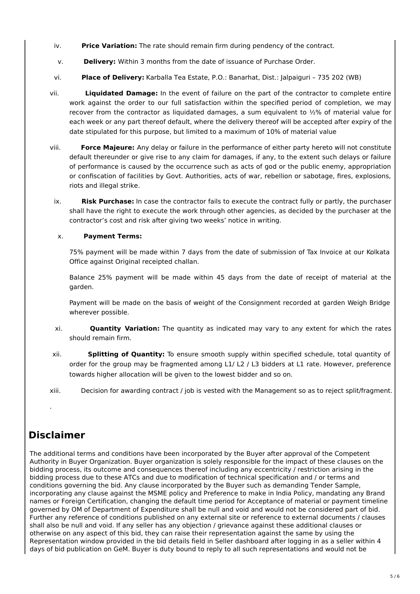- iv. **Price Variation:** The rate should remain firm during pendency of the contract.
- v. **Delivery:** Within 3 months from the date of issuance of Purchase Order.
- vi. **Place of Delivery:** Karballa Tea Estate, P.O.: Banarhat, Dist.: Jalpaiguri 735 202 (WB)
- vii. **Liquidated Damage:** In the event of failure on the part of the contractor to complete entire work against the order to our full satisfaction within the specified period of completion, we may recover from the contractor as liquidated damages, a sum equivalent to ½% of material value for each week or any part thereof default, where the delivery thereof will be accepted after expiry of the date stipulated for this purpose, but limited to a maximum of 10% of material value
- viii. **Force Majeure:** Any delay or failure in the performance of either party hereto will not constitute default thereunder or give rise to any claim for damages, if any, to the extent such delays or failure of performance is caused by the occurrence such as acts of god or the public enemy, appropriation or confiscation of facilities by Govt. Authorities, acts of war, rebellion or sabotage, fires, explosions, riots and illegal strike.
	- ix. **Risk Purchase:** In case the contractor fails to execute the contract fully or partly, the purchaser shall have the right to execute the work through other agencies, as decided by the purchaser at the contractor's cost and risk after giving two weeks' notice in writing.

## x. **Payment Terms:**

75% payment will be made within 7 days from the date of submission of Tax Invoice at our Kolkata Office against Original receipted challan.

Balance 25% payment will be made within 45 days from the date of receipt of material at the garden.

Payment will be made on the basis of weight of the Consignment recorded at garden Weigh Bridge wherever possible.

- xi. **Quantity Variation:** The quantity as indicated may vary to any extent for which the rates should remain firm.
- xii. **Splitting of Quantity:** To ensure smooth supply within specified schedule, total quantity of order for the group may be fragmented among L1/ L2 / L3 bidders at L1 rate. However, preference towards higher allocation will be given to the lowest bidder and so on.
- xiii. Decision for awarding contract / job is vested with the Management so as to reject split/fragment.

# **Disclaimer**

.

The additional terms and conditions have been incorporated by the Buyer after approval of the Competent Authority in Buyer Organization. Buyer organization is solely responsible for the impact of these clauses on the bidding process, its outcome and consequences thereof including any eccentricity / restriction arising in the bidding process due to these ATCs and due to modification of technical specification and / or terms and conditions governing the bid. Any clause incorporated by the Buyer such as demanding Tender Sample, incorporating any clause against the MSME policy and Preference to make in India Policy, mandating any Brand names or Foreign Certification, changing the default time period for Acceptance of material or payment timeline governed by OM of Department of Expenditure shall be null and void and would not be considered part of bid. Further any reference of conditions published on any external site or reference to external documents / clauses shall also be null and void. If any seller has any objection / grievance against these additional clauses or otherwise on any aspect of this bid, they can raise their representation against the same by using the Representation window provided in the bid details field in Seller dashboard after logging in as a seller within 4 days of bid publication on GeM. Buyer is duty bound to reply to all such representations and would not be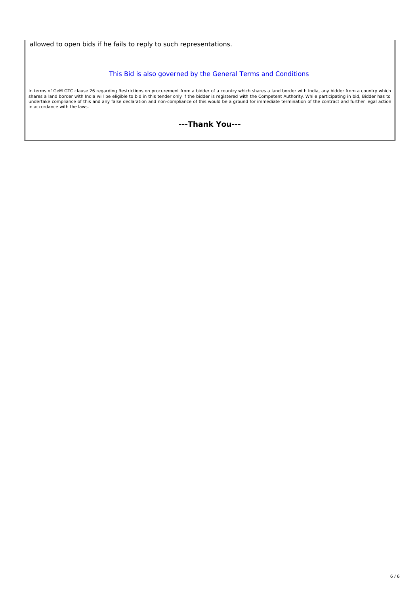allowed to open bids if he fails to reply to such representations.

#### This Bid is also governed by the General Terms and [Conditions](https://gem.gov.in/termsCondition)

In terms of GeM GTC clause 26 regarding Restrictions on procurement from a bidder of a country which shares a land border with India, any bidder from a country which<br>shares a land border with India will be eligible to bid in accordance with the laws.

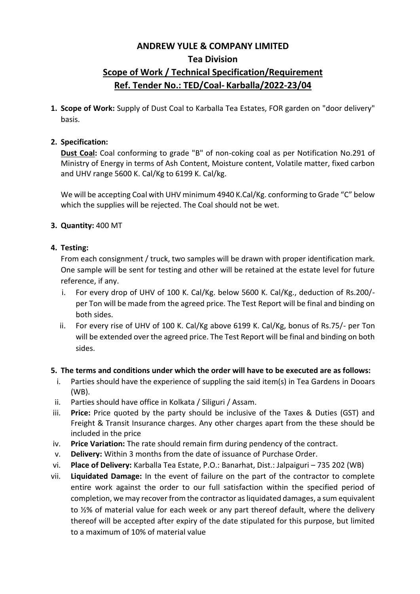# **ANDREW YULE & COMPANY LIMITED Tea Division Scope of Work / Technical Specification/Requirement Ref. Tender No.: TED/Coal- Karballa/2022-23/04**

**1. Scope of Work:** Supply of Dust Coal to Karballa Tea Estates, FOR garden on "door delivery" basis.

# **2. Specification:**

**Dust Coal:** Coal conforming to grade "B" of non-coking coal as per Notification No.291 of Ministry of Energy in terms of Ash Content, Moisture content, Volatile matter, fixed carbon and UHV range 5600 K. Cal/Kg to 6199 K. Cal/kg.

We will be accepting Coal with UHV minimum 4940 K.Cal/Kg. conforming to Grade "C" below which the supplies will be rejected. The Coal should not be wet.

# **3. Quantity:** 400 MT

# **4. Testing:**

From each consignment / truck, two samples will be drawn with proper identification mark. One sample will be sent for testing and other will be retained at the estate level for future reference, if any.

- i. For every drop of UHV of 100 K. Cal/Kg. below 5600 K. Cal/Kg., deduction of Rs.200/ per Ton will be made from the agreed price. The Test Report will be final and binding on both sides.
- ii. For every rise of UHV of 100 K. Cal/Kg above 6199 K. Cal/Kg, bonus of Rs.75/- per Ton will be extended over the agreed price. The Test Report will be final and binding on both sides.

# **5. The terms and conditions under which the order will have to be executed are as follows:**

- i. Parties should have the experience of suppling the said item(s) in Tea Gardens in Dooars (WB).
- ii. Parties should have office in Kolkata / Siliguri / Assam.
- iii. **Price:** Price quoted by the party should be inclusive of the Taxes & Duties (GST) and Freight & Transit Insurance charges. Any other charges apart from the these should be included in the price
- iv. **Price Variation:** The rate should remain firm during pendency of the contract.
- v. **Delivery:** Within 3 months from the date of issuance of Purchase Order.
- vi. **Place of Delivery:** Karballa Tea Estate, P.O.: Banarhat, Dist.: Jalpaiguri 735 202 (WB)
- vii. **Liquidated Damage:** In the event of failure on the part of the contractor to complete entire work against the order to our full satisfaction within the specified period of completion, we may recover from the contractor as liquidated damages, a sum equivalent to ½% of material value for each week or any part thereof default, where the delivery thereof will be accepted after expiry of the date stipulated for this purpose, but limited to a maximum of 10% of material value